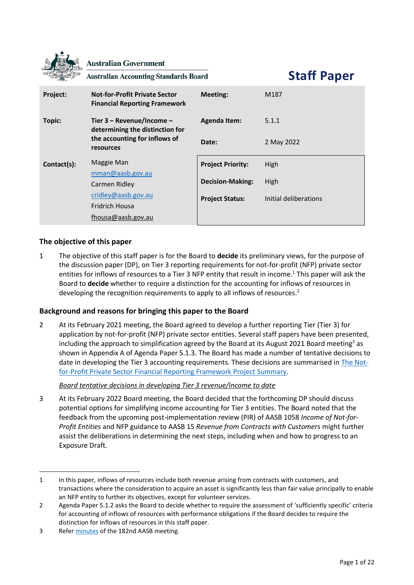|             | <b>Australian Government</b><br><b>Australian Accounting Standards Board</b> |                          | <b>Staff Paper</b>    |
|-------------|------------------------------------------------------------------------------|--------------------------|-----------------------|
| Project:    | <b>Not-for-Profit Private Sector</b><br><b>Financial Reporting Framework</b> | <b>Meeting:</b>          | M187                  |
| Topic:      | Tier 3 - Revenue/Income -<br>determining the distinction for                 | <b>Agenda Item:</b>      | 5.1.1                 |
|             | the accounting for inflows of<br>resources                                   | Date:                    | 2 May 2022            |
| Contact(s): | Maggie Man                                                                   | <b>Project Priority:</b> | High                  |
|             | mman@aash.gov.au<br>Carmen Ridley                                            | <b>Decision-Making:</b>  | High                  |
|             | cridley@aasb.gov.au<br>Fridrich Housa<br>fhousa@aasb.gov.au                  | <b>Project Status:</b>   | Initial deliberations |

## **The objective of this paper**

**SAL** 

1 The objective of this staff paper is for the Board to **decide** its preliminary views, for the purpose of the discussion paper (DP), on Tier 3 reporting requirements for not-for-profit (NFP) private sector entities for inflows of resources to a Tier 3 NFP entity that result in income. <sup>1</sup> This paper will ask the Board to **decide** whether to require a distinction for the accounting for inflows of resources in developing the recognition requirements to apply to all inflows of resources.<sup>2</sup>

## **Background and reasons for bringing this paper to the Board**

2 At its February 2021 meeting, the Board agreed to develop a further reporting Tier (Tier 3) for application by not-for-profit (NFP) private sector entities. Several staff papers have been presented, including the approach to simplification agreed by the Board at its August 2021 Board meeting<sup>3</sup> as shown in Appendix A of Agenda Paper 5.1.3. The Board has made a number of tentative decisions to date in developing the Tier 3 accounting requirements. These decisions are summarised i[n The Not](https://aasb.gov.au/media/wi2pvcub/ps_afr-nfp_04-12.pdf)[for-Profit Private Sector Financial Reporting Framework Project Summary.](https://aasb.gov.au/media/wi2pvcub/ps_afr-nfp_04-12.pdf)

## *Board tentative decisions in developing Tier 3 revenue/income to date*

3 At its February 2022 Board meeting, the Board decided that the forthcoming DP should discuss potential options for simplifying income accounting for Tier 3 entities. The Board noted that the feedback from the upcoming post-implementation review (PIR) of AASB 1058 *Income of Not-for-Profit Entities* and NFP guidance to AASB 15 *Revenue from Contracts with Customers* might further assist the deliberations in determining the next steps, including when and how to progress to an Exposure Draft.

<sup>1</sup> In this paper, inflows of resources include both revenue arising from contracts with customers, and transactions where the consideration to acquire an asset is significantly less than fair value principally to enable an NFP entity to further its objectives, except for volunteer services.

<sup>2</sup> Agenda Paper 5.1.2 asks the Board to decide whether to require the assessment of 'sufficiently specific' criteria for accounting of inflows of resources with performance obligations if the Board decides to require the distinction for inflows of resources in this staff paper.

<sup>3</sup> Refe[r minutes](https://aasb.gov.au/media/fsblvmin/aasbapprovedminutesm182_4aug21.pdf) of the 182nd AASB meeting.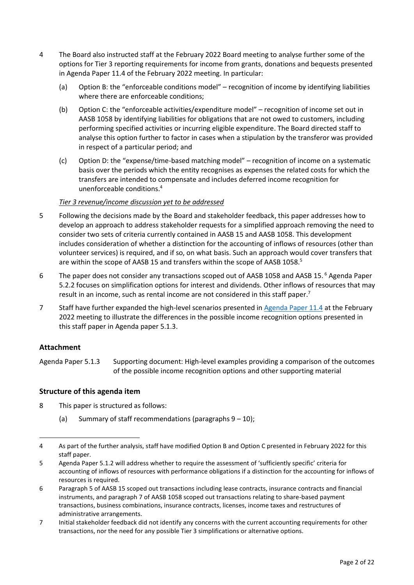- <span id="page-1-0"></span>4 The Board also instructed staff at the February 2022 Board meeting to analyse further some of the options for Tier 3 reporting requirements for income from grants, donations and bequests presented in [Agenda Paper 11.4 o](https://www.aasb.gov.au/media/ol4ondoy/11-4-0_sp_tier3revenuegrants_m185_pp.pdf)f the February 2022 meeting. In particular:
	- (a) Option B: the "enforceable conditions model" recognition of income by identifying liabilities where there are enforceable conditions;
	- (b) Option C: the "enforceable activities/expenditure model" recognition of income set out in AASB 1058 by identifying liabilities for obligations that are not owed to customers, including performing specified activities or incurring eligible expenditure. The Board directed staff to analyse this option further to factor in cases when a stipulation by the transferor was provided in respect of a particular period; and
	- (c) Option D: the "expense/time-based matching model" recognition of income on a systematic basis over the periods which the entity recognises as expenses the related costs for which the transfers are intended to compensate and includes deferred income recognition for unenforceable conditions.<sup>4</sup>

### *Tier 3 revenue/income discussion yet to be addressed*

- 5 Following the decisions made by the Board and stakeholder feedback, this paper addresses how to develop an approach to address stakeholder requests for a simplified approach removing the need to consider two sets of criteria currently contained in AASB 15 and AASB 1058. This development includes consideration of whether a distinction for the accounting of inflows of resources (other than volunteer services) is required, and if so, on what basis. Such an approach would cover transfers that are within the scope of AASB 15 and transfers within the scope of AASB 1058.<sup>5</sup>
- 6 The paper does not consider any transactions scoped out of AASB 1058 and AASB 15.<sup>6</sup> Agenda Paper 5.2.2 focuses on simplification options for interest and dividends. Other inflows of resources that may result in an income, such as rental income are not considered in this staff paper.<sup>7</sup>
- 7 Staff have further expanded the high-level scenarios presented in [Agenda Paper 11.4](https://www.aasb.gov.au/media/ol4ondoy/11-4-0_sp_tier3revenuegrants_m185_pp.pdf) at the February 2022 meeting to illustrate the differences in the possible income recognition options presented in this staff paper in Agenda paper 5.1.3.

## **Attachment**

Agenda Paper 5.1.3 Supporting document: High-level examples providing a comparison of the outcomes of the possible income recognition options and other supporting material

## **Structure of this agenda item**

- 8 This paper is structured as follows:
	- (a) Summary of staff recommendations (paragraphs  $9 10$  $9 10$ );

<sup>4</sup> As part of the further analysis, staff have modified Option B and Option C presented in February 2022 for this staff paper.

<sup>5</sup> Agenda Paper 5.1.2 will address whether to require the assessment of 'sufficiently specific' criteria for accounting of inflows of resources with performance obligations if a distinction for the accounting for inflows of resources is required.

<sup>6</sup> Paragraph 5 of AASB 15 scoped out transactions including lease contracts, insurance contracts and financial instruments, and paragraph 7 of AASB 1058 scoped out transactions relating to share-based payment transactions, business combinations, insurance contracts, licenses, income taxes and restructures of administrative arrangements.

<sup>7</sup> Initial stakeholder feedback did not identify any concerns with the current accounting requirements for other transactions, nor the need for any possible Tier 3 simplifications or alternative options.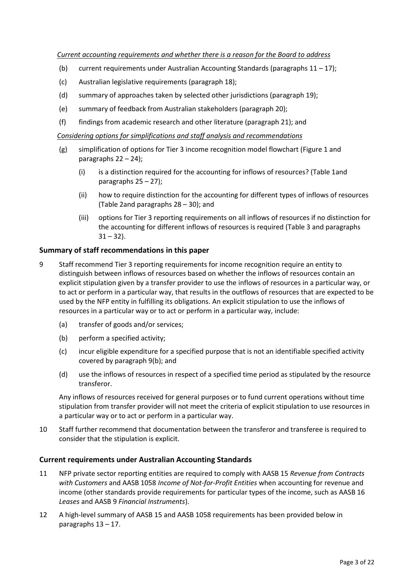- (b) current requirements under Australian Accounting Standards (paragraphs  $11 17$  $11 17$ );
- (c) Australian legislative requirements (paragraph [18\)](#page-3-1);
- (d) summary of approaches taken by selected other jurisdictions (paragraph [19\)](#page-4-0);
- (e) summary of feedback from Australian stakeholders (paragraph [20\)](#page-5-0);
- (f) findings from academic research and other literature (paragraph [21\)](#page-6-0); and

*Considering options for simplifications and staff analysis and recommendations*

- (g) simplification of options for Tier 3 income recognition model flowchart [\(Figure 1](#page-8-0) and paragraphs [22](#page-7-0) – [24\)](#page-9-0);
	- (i) is a distinction required for the accounting for inflows of resources? [\(Table 1a](#page-10-0)nd paragraphs  $25 - 27$  $25 - 27$ );
	- (ii) how to require distinction for the accounting for different types of inflows of resources [\(Table 2a](#page-13-0)nd paragraph[s 28](#page-16-0) – [30\)](#page-17-0); and
	- (iii) options for Tier 3 reporting requirements on all inflows of resources if no distinction for the accounting for different inflows of resources is required [\(Table 3](#page-18-0) and paragraphs  $31 - 32$  $31 - 32$ ).

#### **Summary of staff recommendations in this paper**

- <span id="page-2-0"></span>9 Staff recommend Tier 3 reporting requirements for income recognition require an entity to distinguish between inflows of resources based on whether the inflows of resources contain an explicit stipulation given by a transfer provider to use the inflows of resources in a particular way, or to act or perform in a particular way, that results in the outflows of resources that are expected to be used by the NFP entity in fulfilling its obligations. An explicit stipulation to use the inflows of resources in a particular way or to act or perform in a particular way, include:
	- (a) transfer of goods and/or services;
	- (b) perform a specified activity;
	- (c) incur eligible expenditure for a specified purpose that is not an identifiable specified activity covered by paragraph [9\(b\);](#page-2-3) and
	- (d) use the inflows of resources in respect of a specified time period as stipulated by the resource transferor.

<span id="page-2-3"></span>Any inflows of resources received for general purposes or to fund current operations without time stipulation from transfer provider will not meet the criteria of explicit stipulation to use resources in a particular way or to act or perform in a particular way.

<span id="page-2-1"></span>10 Staff further recommend that documentation between the transferor and transferee is required to consider that the stipulation is explicit.

#### **Current requirements under Australian Accounting Standards**

- <span id="page-2-2"></span>11 NFP private sector reporting entities are required to comply with AASB 15 *Revenue from Contracts with Customers* and AASB 1058 *Income of Not-for-Profit Entities* when accounting for revenue and income (other standards provide requirements for particular types of the income, such as AASB 16 *Leases* and AASB 9 *Financial Instruments*).
- 12 A high-level summary of AASB 15 and AASB 1058 requirements has been provided below in paragraphs [13](#page-3-2) – [17.](#page-3-0)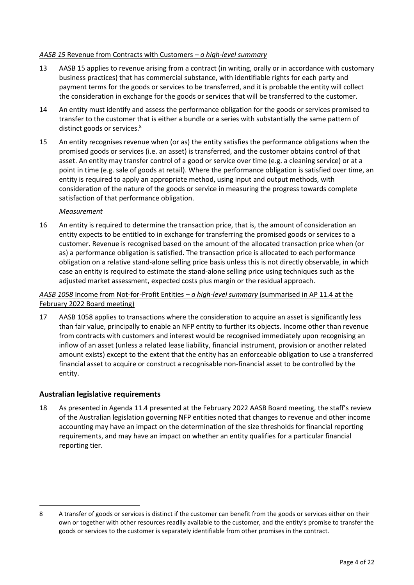#### *AASB 15* Revenue from Contracts with Customers *– a high-level summary*

- <span id="page-3-2"></span>13 AASB 15 applies to revenue arising from a contract (in writing, orally or in accordance with customary business practices) that has commercial substance, with identifiable rights for each party and payment terms for the goods or services to be transferred, and it is probable the entity will collect the consideration in exchange for the goods or services that will be transferred to the customer.
- 14 An entity must identify and assess the performance obligation for the goods or services promised to transfer to the customer that is either a bundle or a series with substantially the same pattern of distinct goods or services.<sup>8</sup>
- 15 An entity recognises revenue when (or as) the entity satisfies the performance obligations when the promised goods or services (i.e. an asset) is transferred, and the customer obtains control of that asset. An entity may transfer control of a good or service over time (e.g. a cleaning service) or at a point in time (e.g. sale of goods at retail). Where the performance obligation is satisfied over time, an entity is required to apply an appropriate method, using input and output methods, with consideration of the nature of the goods or service in measuring the progress towards complete satisfaction of that performance obligation.

### *Measurement*

16 An entity is required to determine the transaction price, that is, the amount of consideration an entity expects to be entitled to in exchange for transferring the promised goods or services to a customer. Revenue is recognised based on the amount of the allocated transaction price when (or as) a performance obligation is satisfied. The transaction price is allocated to each performance obligation on a relative stand-alone selling price basis unless this is not directly observable, in which case an entity is required to estimate the stand-alone selling price using techniques such as the adjusted market assessment, expected costs plus margin or the residual approach.

## *AASB 1058* Income from Not-for-Profit Entities *– a high-level summary* (summarised in AP 11.4 at the February 2022 Board meeting)

<span id="page-3-0"></span>17 AASB 1058 applies to transactions where the consideration to acquire an asset is significantly less than fair value, principally to enable an NFP entity to further its objects. Income other than revenue from contracts with customers and interest would be recognised immediately upon recognising an inflow of an asset (unless a related lease liability, financial instrument, provision or another related amount exists) except to the extent that the entity has an enforceable obligation to use a transferred financial asset to acquire or construct a recognisable non-financial asset to be controlled by the entity.

## **Australian legislative requirements**

<span id="page-3-1"></span>18 As presented in Agenda 11.4 presented at the February 2022 AASB Board meeting, the staff's review of the Australian legislation governing NFP entities noted that changes to revenue and other income accounting may have an impact on the determination of the size thresholds for financial reporting requirements, and may have an impact on whether an entity qualifies for a particular financial reporting tier.

<sup>8</sup> A transfer of goods or services is distinct if the customer can benefit from the goods or services either on their own or together with other resources readily available to the customer, and the entity's promise to transfer the goods or services to the customer is separately identifiable from other promises in the contract.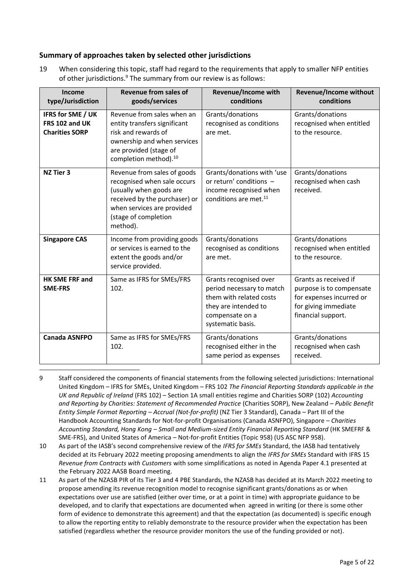## **Summary of approaches taken by selected other jurisdictions**

<span id="page-4-0"></span>19 When considering this topic, staff had regard to the requirements that apply to smaller NFP entities of other jurisdictions.<sup>9</sup> The summary from our review is as follows:

| Income<br>type/Jurisdiction                                         | Revenue from sales of<br>goods/services                                                                                                                                                  | Revenue/Income with<br>conditions                                                                                                              | <b>Revenue/Income without</b><br>conditions                                                                                 |
|---------------------------------------------------------------------|------------------------------------------------------------------------------------------------------------------------------------------------------------------------------------------|------------------------------------------------------------------------------------------------------------------------------------------------|-----------------------------------------------------------------------------------------------------------------------------|
| <b>IFRS for SME / UK</b><br>FRS 102 and UK<br><b>Charities SORP</b> | Revenue from sales when an<br>entity transfers significant<br>risk and rewards of<br>ownership and when services<br>are provided (stage of<br>completion method). <sup>10</sup>          | Grants/donations<br>recognised as conditions<br>are met.                                                                                       | Grants/donations<br>recognised when entitled<br>to the resource.                                                            |
| <b>NZ Tier 3</b>                                                    | Revenue from sales of goods<br>recognised when sale occurs<br>(usually when goods are<br>received by the purchaser) or<br>when services are provided<br>(stage of completion<br>method). | Grants/donations with 'use<br>or return' conditions -<br>income recognised when<br>conditions are met. <sup>11</sup>                           | Grants/donations<br>recognised when cash<br>received.                                                                       |
| <b>Singapore CAS</b>                                                | Income from providing goods<br>or services is earned to the<br>extent the goods and/or<br>service provided.                                                                              | Grants/donations<br>recognised as conditions<br>are met.                                                                                       | Grants/donations<br>recognised when entitled<br>to the resource.                                                            |
| <b>HK SME FRF and</b><br><b>SME-FRS</b>                             | Same as IFRS for SMEs/FRS<br>102.                                                                                                                                                        | Grants recognised over<br>period necessary to match<br>them with related costs<br>they are intended to<br>compensate on a<br>systematic basis. | Grants as received if<br>purpose is to compensate<br>for expenses incurred or<br>for giving immediate<br>financial support. |
| <b>Canada ASNFPO</b>                                                | Same as IFRS for SMEs/FRS<br>102.                                                                                                                                                        | Grants/donations<br>recognised either in the<br>same period as expenses                                                                        | Grants/donations<br>recognised when cash<br>received.                                                                       |

- 9 Staff considered the components of financial statements from the following selected jurisdictions: International United Kingdom – IFRS for SMEs, United Kingdom – FRS 102 *The Financial Reporting Standards applicable in the UK and Republic of Ireland* (FRS 102) – Section 1A small entities regime and Charities SORP (102) *Accounting and Reporting by Charities: Statement of Recommended Practice* (Charities SORP), New Zealand – *Public Benefit Entity Simple Format Reporting – Accrual (Not-for-profit)* (NZ Tier 3 Standard), Canada – Part III of the Handbook Accounting Standards for Not-for-profit Organisations (Canada ASNFPO), Singapore – *Charities Accounting Standard, Hong Kong – Small and Medium-sized Entity Financial Reporting Standard* (HK SMEFRF & SME-FRS), and United States of America – Not-for-profit Entities (Topic 958) (US ASC NFP 958).
- 10 As part of the IASB's second comprehensive review of the *IFRS for SMEs* Standard, the IASB had tentatively decided at its February 2022 meeting proposing amendments to align the *IFRS for SMEs* Standard with IFRS 15 *Revenue from Contracts with Customers* with some simplifications as noted in Agenda Paper 4.1 presented at the February 2022 AASB Board meeting.
- 11 As part of the NZASB PIR of its Tier 3 and 4 PBE Standards, the NZASB has decided at its March 2022 meeting to propose amending its revenue recognition model to recognise significant grants/donations as or when expectations over use are satisfied (either over time, or at a point in time) with appropriate guidance to be developed, and to clarify that expectations are documented when agreed in writing (or there is some other form of evidence to demonstrate this agreement) and that the expectation (as documented) is specific enough to allow the reporting entity to reliably demonstrate to the resource provider when the expectation has been satisfied (regardless whether the resource provider monitors the use of the funding provided or not).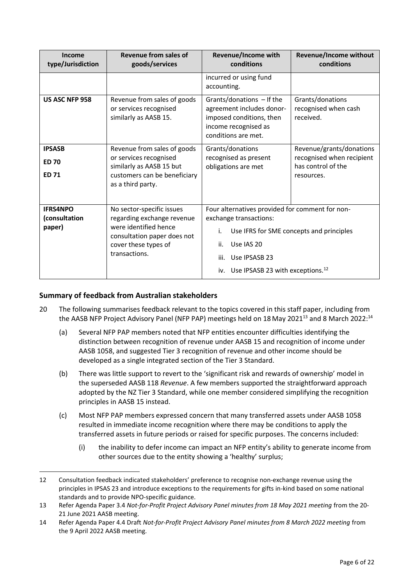| Income<br>type/Jurisdiction                   | Revenue from sales of<br>goods/services                                                                                                                  | Revenue/Income with<br>conditions                                                                                                                                                                                             | <b>Revenue/Income without</b><br>conditions                                               |
|-----------------------------------------------|----------------------------------------------------------------------------------------------------------------------------------------------------------|-------------------------------------------------------------------------------------------------------------------------------------------------------------------------------------------------------------------------------|-------------------------------------------------------------------------------------------|
|                                               |                                                                                                                                                          | incurred or using fund<br>accounting.                                                                                                                                                                                         |                                                                                           |
| US ASC NFP 958                                | Revenue from sales of goods<br>or services recognised<br>similarly as AASB 15.                                                                           | Grants/donations - If the<br>agreement includes donor-<br>imposed conditions, then<br>income recognised as<br>conditions are met.                                                                                             | Grants/donations<br>recognised when cash<br>received.                                     |
| <b>IPSASB</b><br><b>ED 70</b><br><b>ED 71</b> | Revenue from sales of goods<br>or services recognised<br>similarly as AASB 15 but<br>customers can be beneficiary<br>as a third party.                   | Grants/donations<br>recognised as present<br>obligations are met                                                                                                                                                              | Revenue/grants/donations<br>recognised when recipient<br>has control of the<br>resources. |
| <b>IFRS4NPO</b><br>(consultation<br>paper)    | No sector-specific issues<br>regarding exchange revenue<br>were identified hence<br>consultation paper does not<br>cover these types of<br>transactions. | Four alternatives provided for comment for non-<br>exchange transactions:<br>Use IFRS for SME concepts and principles<br>i.<br>ii.<br>Use IAS 20<br>Use IPSASB 23<br>iii.<br>iv. Use IPSASB 23 with exceptions. <sup>12</sup> |                                                                                           |

## **Summary of feedback from Australian stakeholders**

- <span id="page-5-0"></span>20 The following summarises feedback relevant to the topics covered in this staff paper, including from the AASB NFP Project Advisory Panel (NFP PAP) meetings held on 18 May 2021<sup>13</sup> and 8 March 2022:<sup>14</sup>
	- (a) Several NFP PAP members noted that NFP entities encounter difficulties identifying the distinction between recognition of revenue under AASB 15 and recognition of income under AASB 1058, and suggested Tier 3 recognition of revenue and other income should be developed as a single integrated section of the Tier 3 Standard.
	- (b) There was little support to revert to the 'significant risk and rewards of ownership' model in the superseded AASB 118 *Revenue*. A few members supported the straightforward approach adopted by the NZ Tier 3 Standard, while one member considered simplifying the recognition principles in AASB 15 instead.
	- (c) Most NFP PAP members expressed concern that many transferred assets under AASB 1058 resulted in immediate income recognition where there may be conditions to apply the transferred assets in future periods or raised for specific purposes. The concerns included:
		- (i) the inability to defer income can impact an NFP entity's ability to generate income from other sources due to the entity showing a 'healthy' surplus;

<sup>12</sup> Consultation feedback indicated stakeholders' preference to recognise non-exchange revenue using the principles in IPSAS 23 and introduce exceptions to the requirements for gifts in-kind based on some national standards and to provide NPO-specific guidance.

<sup>13</sup> Refer Agenda Paper 3.4 *Not-for-Profit Project Advisory Panel minutes from 18 May 2021 meeting* from the 20- 21 June 2021 AASB meeting.

<sup>14</sup> Refer Agenda Paper 4.4 Draft *Not-for-Profit Project Advisory Panel minutes from 8 March 2022 meeting* from the 9 April 2022 AASB meeting.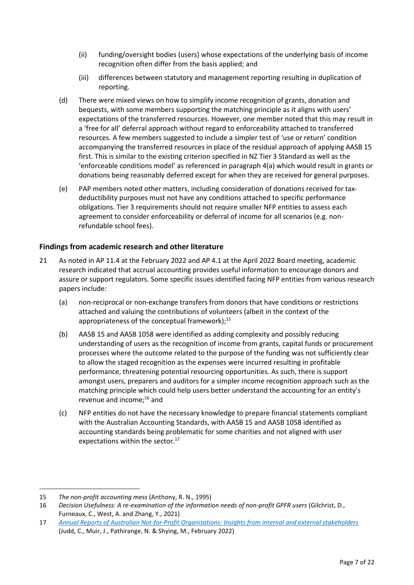- (ii) funding/oversight bodies (users) whose expectations of the underlying basis of income recognition often differ from the basis applied; and
- (iii) differences between statutory and management reporting resulting in duplication of reporting.
- (d) There were mixed views on how to simplify income recognition of grants, donation and bequests, with some members supporting the matching principle as it aligns with users' expectations of the transferred resources. However, one member noted that this may result in a 'free for all' deferral approach without regard to enforceability attached to transferred resources. A few members suggested to include a simpler test of 'use or return' condition accompanying the transferred resources in place of the residual approach of applying AASB 15 first. This is similar to the existing criterion specified in NZ Tier 3 Standard as well as the 'enforceable conditions model' as referenced in paragraph [4\(a\)](#page-1-0) which would result in grants or donations being reasonably deferred except for when they are received for general purposes.
- (e) PAP members noted other matters, including consideration of donations received for taxdeductibility purposes must not have any conditions attached to specific performance obligations. Tier 3 requirements should not require smaller NFP entities to assess each agreement to consider enforceability or deferral of income for all scenarios (e.g. nonrefundable school fees).

## **Findings from academic research and other literature**

- <span id="page-6-0"></span>21 As noted in AP 11.4 at the February 2022 and AP 4.1 at the April 2022 Board meeting, academic research indicated that accrual accounting provides useful information to encourage donors and assure or support regulators. Some specific issues identified facing NFP entities from various research papers include:
	- (a) non-reciprocal or non-exchange transfers from donors that have conditions or restrictions attached and valuing the contributions of volunteers (albeit in the context of the appropriateness of the conceptual framework);<sup>15</sup>
	- (b) AASB 15 and AASB 1058 were identified as adding complexity and possibly reducing understanding of users as the recognition of income from grants, capital funds or procurement processes where the outcome related to the purpose of the funding was not sufficiently clear to allow the staged recognition as the expenses were incurred resulting in profitable performance, threatening potential resourcing opportunities. As such, there is support amongst users, preparers and auditors for a simpler income recognition approach such as the matching principle which could help users better understand the accounting for an entity's revenue and income;<sup>16</sup> and
	- (c) NFP entities do not have the necessary knowledge to prepare financial statements compliant with the Australian Accounting Standards, with AASB 15 and AASB 1058 identified as accounting standards being problematic for some charities and not aligned with user expectations within the sector.<sup>17</sup>

<sup>15</sup> *The non-profit accounting mess* (Anthony, R. N., 1995)

<sup>16</sup> *Decision Usefulness: A re-examination of the information needs of non-profit GPFR users* (Gilchrist, D., Furneaux, C., West, A. and Zhang, Y., 2021)

<sup>17</sup> *[Annual Reports of Australian Not-for-Profit Organisations: Insights from internal and external stakeholders](https://www.cpaaustralia.com.au/-/media/project/cpa/corporate/documents/tools-and-resources/financial-reporting/annual-reports-of-australian-nfp-organisations---insights-from-internal-and-external-stakeholder.pdf?rev=492abeae176840c091092fe940e606a5)* (Judd, C., Muir, J., Pathirange, N. & Shying, M., February 2022)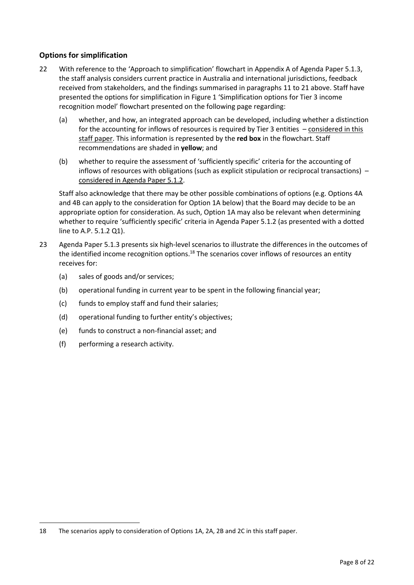## **Options for simplification**

- <span id="page-7-0"></span>22 With reference to the 'Approach to simplification' flowchart in Appendix A of Agenda Paper 5.1.3, the staff analysis considers current practice in Australia and international jurisdictions, feedback received from stakeholders, and the findings summarised in paragraphs [11](#page-2-2) to [21](#page-6-0) above. Staff have presented the options for simplification i[n Figure 1](#page-8-0) 'Simplification options for Tier 3 income recognition model' flowchart presented on the following page regarding:
	- (a) whether, and how, an integrated approach can be developed, including whether a distinction for the accounting for inflows of resources is required by Tier 3 entities – considered in this staff paper. This information is represented by the **red box** in the flowchart. Staff recommendations are shaded in **yellow**; and
	- (b) whether to require the assessment of 'sufficiently specific' criteria for the accounting of inflows of resources with obligations (such as explicit stipulation or reciprocal transactions) – considered in Agenda Paper 5.1.2.

Staff also acknowledge that there may be other possible combinations of options (e.g. Options 4A and 4B can apply to the consideration for Option 1A below) that the Board may decide to be an appropriate option for consideration. As such, Option 1A may also be relevant when determining whether to require 'sufficiently specific' criteria in Agenda Paper 5.1.2 (as presented with a dotted line to A.P. 5.1.2 Q1).

- 23 Agenda Paper 5.1.3 presents six high-level scenarios to illustrate the differences in the outcomes of the identified income recognition options.<sup>18</sup> The scenarios cover inflows of resources an entity receives for:
	- (a) sales of goods and/or services;
	- (b) operational funding in current year to be spent in the following financial year;
	- (c) funds to employ staff and fund their salaries;
	- (d) operational funding to further entity's objectives;
	- (e) funds to construct a non-financial asset; and
	- (f) performing a research activity.

<sup>18</sup> The scenarios apply to consideration of Options 1A, 2A, 2B and 2C in this staff paper.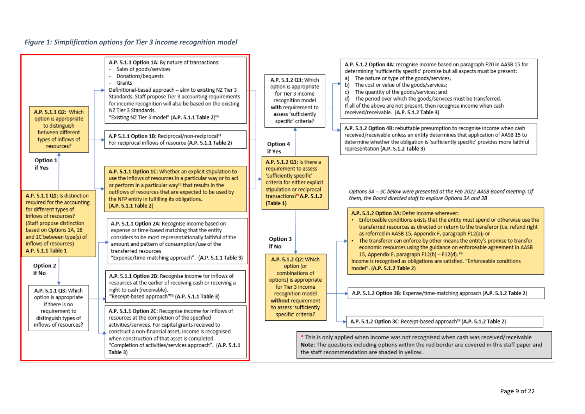#### *Figure 1: Simplification options for Tier 3 income recognition model*

<span id="page-8-0"></span>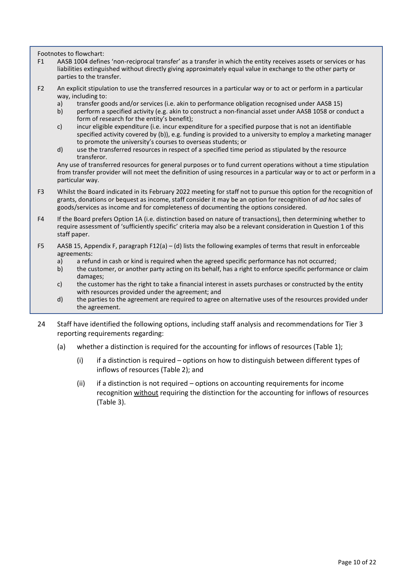<span id="page-9-1"></span>Footnotes to flowchart:

- F1 AASB 1004 defines 'non-reciprocal transfer' as a transfer in which the entity receives assets or services or has liabilities extinguished without directly giving approximately equal value in exchange to the other party or parties to the transfer.
- <span id="page-9-2"></span>F2 An explicit stipulation to use the transferred resources in a particular way or to act or perform in a particular way, including to:<br>a) transfer go
	- a) transfer goods and/or services (i.e. akin to performance obligation recognised under AASB 15)
	- b) perform a specified activity (e.g. akin to construct a non-financial asset under AASB 1058 or conduct a form of research for the entity's benefit);
	- c) incur eligible expenditure (i.e. incur expenditure for a specified purpose that is not an identifiable specified activity covered by (b)), e.g. funding is provided to a university to employ a marketing manager to promote the university's courses to overseas students; or
	- d) use the transferred resources in respect of a specified time period as stipulated by the resource transferor.

Any use of transferred resources for general purposes or to fund current operations without a time stipulation from transfer provider will not meet the definition of using resources in a particular way or to act or perform in a particular way.

- F3 Whilst the Board indicated in its February 2022 meeting for staff not to pursue this option for the recognition of grants, donations or bequest as income, staff consider it may be an option for recognition of *ad hoc* sales of goods/services as income and for completeness of documenting the options considered.
- F4 If the Board prefers Option 1A (i.e. distinction based on nature of transactions), then determining whether to require assessment of 'sufficiently specific' criteria may also be a relevant consideration in Question 1 of this staff paper.
- F5 AASB 15, Appendix F, paragraph F12(a) (d) lists the following examples of terms that result in enforceable agreements:
	- a) a refund in cash or kind is required when the agreed specific performance has not occurred;
	- b) the customer, or another party acting on its behalf, has a right to enforce specific performance or claim damages;
	- c) the customer has the right to take a financial interest in assets purchases or constructed by the entity with resources provided under the agreement; and
	- d) the parties to the agreement are required to agree on alternative uses of the resources provided under the agreement.
- <span id="page-9-0"></span>24 Staff have identified the following options, including staff analysis and recommendations for Tier 3 reporting requirements regarding:
	- (a) whether a distinction is required for the accounting for inflows of resources [\(Table 1\)](#page-10-0);
		- (i) if a distinction is required options on how to distinguish between different types of inflows of resources [\(Table 2\)](#page-13-0); and
		- (ii) if a distinction is not required options on accounting requirements for income recognition without requiring the distinction for the accounting for inflows of resources [\(Table 3\)](#page-18-0).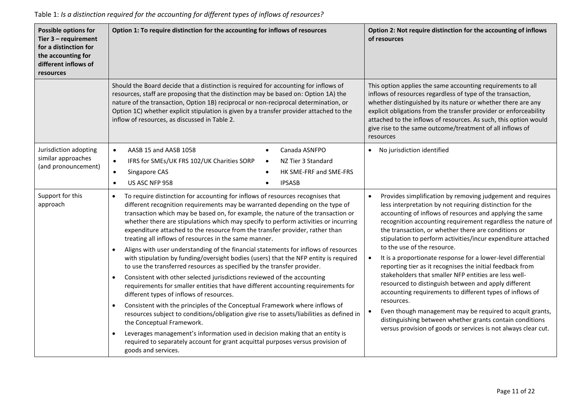<span id="page-10-0"></span>

| <b>Possible options for</b><br>Tier $3$ – requirement<br>for a distinction for<br>the accounting for<br>different inflows of<br>resources                                                                                                                                                                                                                                                                                                                                                                                       | Option 1: To require distinction for the accounting for inflows of resources                                                                                                                                                                                                                                                                                                                                                                                                                 | Option 2: Not require distinction for the accounting of inflows<br>of resources                                                                                                                                                                                                                                                                                                                                      |
|---------------------------------------------------------------------------------------------------------------------------------------------------------------------------------------------------------------------------------------------------------------------------------------------------------------------------------------------------------------------------------------------------------------------------------------------------------------------------------------------------------------------------------|----------------------------------------------------------------------------------------------------------------------------------------------------------------------------------------------------------------------------------------------------------------------------------------------------------------------------------------------------------------------------------------------------------------------------------------------------------------------------------------------|----------------------------------------------------------------------------------------------------------------------------------------------------------------------------------------------------------------------------------------------------------------------------------------------------------------------------------------------------------------------------------------------------------------------|
|                                                                                                                                                                                                                                                                                                                                                                                                                                                                                                                                 | Should the Board decide that a distinction is required for accounting for inflows of<br>resources, staff are proposing that the distinction may be based on: Option 1A) the<br>nature of the transaction, Option 1B) reciprocal or non-reciprocal determination, or<br>Option 1C) whether explicit stipulation is given by a transfer provider attached to the<br>inflow of resources, as discussed in Table 2.                                                                              | This option applies the same accounting requirements to all<br>inflows of resources regardless of type of the transaction,<br>whether distinguished by its nature or whether there are any<br>explicit obligations from the transfer provider or enforceability<br>attached to the inflows of resources. As such, this option would<br>give rise to the same outcome/treatment of all inflows of<br>resources        |
| Jurisdiction adopting<br>similar approaches<br>(and pronouncement)                                                                                                                                                                                                                                                                                                                                                                                                                                                              | AASB 15 and AASB 1058<br>Canada ASNFPO<br>$\bullet$<br>$\bullet$<br>IFRS for SMEs/UK FRS 102/UK Charities SORP<br>NZ Tier 3 Standard<br>$\bullet$<br>$\bullet$<br>Singapore CAS<br>HK SME-FRF and SME-FRS<br>$\bullet$<br>US ASC NFP 958<br><b>IPSASB</b><br>$\bullet$                                                                                                                                                                                                                       | • No jurisdiction identified                                                                                                                                                                                                                                                                                                                                                                                         |
| Support for this<br>To require distinction for accounting for inflows of resources recognises that<br>$\bullet$<br>different recognition requirements may be warranted depending on the type of<br>approach<br>transaction which may be based on, for example, the nature of the transaction or<br>whether there are stipulations which may specify to perform activities or incurring<br>expenditure attached to the resource from the transfer provider, rather than<br>treating all inflows of resources in the same manner. |                                                                                                                                                                                                                                                                                                                                                                                                                                                                                              | Provides simplification by removing judgement and requires<br>$\bullet$<br>less interpretation by not requiring distinction for the<br>accounting of inflows of resources and applying the same<br>recognition accounting requirement regardless the nature of<br>the transaction, or whether there are conditions or<br>stipulation to perform activities/incur expenditure attached<br>to the use of the resource. |
|                                                                                                                                                                                                                                                                                                                                                                                                                                                                                                                                 | Aligns with user understanding of the financial statements for inflows of resources<br>$\bullet$<br>with stipulation by funding/oversight bodies (users) that the NFP entity is required<br>to use the transferred resources as specified by the transfer provider.<br>Consistent with other selected jurisdictions reviewed of the accounting<br>$\bullet$<br>requirements for smaller entities that have different accounting requirements for<br>different types of inflows of resources. | It is a proportionate response for a lower-level differential<br>$\bullet$<br>reporting tier as it recognises the initial feedback from<br>stakeholders that smaller NFP entities are less well-<br>resourced to distinguish between and apply different<br>accounting requirements to different types of inflows of                                                                                                 |
|                                                                                                                                                                                                                                                                                                                                                                                                                                                                                                                                 | Consistent with the principles of the Conceptual Framework where inflows of<br>resources subject to conditions/obligation give rise to assets/liabilities as defined in<br>the Conceptual Framework.<br>Leverages management's information used in decision making that an entity is<br>$\bullet$<br>required to separately account for grant acquittal purposes versus provision of<br>goods and services.                                                                                  | resources.<br>Even though management may be required to acquit grants,<br>$\bullet$<br>distinguishing between whether grants contain conditions<br>versus provision of goods or services is not always clear cut.                                                                                                                                                                                                    |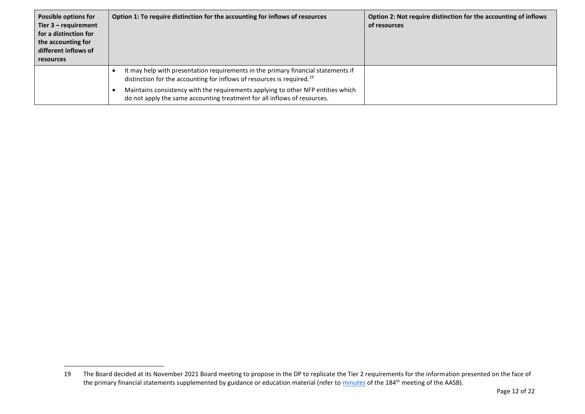| <b>Possible options for</b><br>Tier $3$ – requirement<br>for a distinction for<br>the accounting for<br>different inflows of<br><b>resources</b> | Option 1: To require distinction for the accounting for inflows of resources                                                                                            | Option 2: Not require distinction for the accounting of inflows<br>of resources |
|--------------------------------------------------------------------------------------------------------------------------------------------------|-------------------------------------------------------------------------------------------------------------------------------------------------------------------------|---------------------------------------------------------------------------------|
|                                                                                                                                                  | It may help with presentation requirements in the primary financial statements if<br>distinction for the accounting for inflows of resources is required. <sup>19</sup> |                                                                                 |
|                                                                                                                                                  | Maintains consistency with the requirements applying to other NFP entities which<br>do not apply the same accounting treatment for all inflows of resources.            |                                                                                 |

<sup>19</sup> The Board decided at its November 2021 Board meeting to propose in the DP to replicate the Tier 2 requirements for the information presented on the face of the primary financial statements supplemented by guidance or education material (refer to [minutes](https://aasb.gov.au/media/tvjl3hbs/aasbapprovedminutesm184_nov21.pdf) of the 184<sup>th</sup> meeting of the AASB).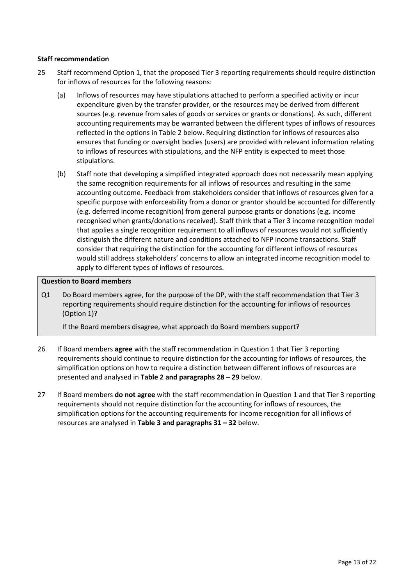#### **Staff recommendation**

- <span id="page-12-0"></span>25 Staff recommend Option 1, that the proposed Tier 3 reporting requirements should require distinction for inflows of resources for the following reasons:
	- (a) Inflows of resources may have stipulations attached to perform a specified activity or incur expenditure given by the transfer provider, or the resources may be derived from different sources (e.g. revenue from sales of goods or services or grants or donations). As such, different accounting requirements may be warranted between the different types of inflows of resources reflected in the options i[n Table 2](#page-13-0) below. Requiring distinction for inflows of resources also ensures that funding or oversight bodies (users) are provided with relevant information relating to inflows of resources with stipulations, and the NFP entity is expected to meet those stipulations.
	- (b) Staff note that developing a simplified integrated approach does not necessarily mean applying the same recognition requirements for all inflows of resources and resulting in the same accounting outcome. Feedback from stakeholders consider that inflows of resources given for a specific purpose with enforceability from a donor or grantor should be accounted for differently (e.g. deferred income recognition) from general purpose grants or donations (e.g. income recognised when grants/donations received). Staff think that a Tier 3 income recognition model that applies a single recognition requirement to all inflows of resources would not sufficiently distinguish the different nature and conditions attached to NFP income transactions. Staff consider that requiring the distinction for the accounting for different inflows of resources would still address stakeholders' concerns to allow an integrated income recognition model to apply to different types of inflows of resources.

#### **Question to Board members**

Q1 Do Board members agree, for the purpose of the DP, with the staff recommendation that Tier 3 reporting requirements should require distinction for the accounting for inflows of resources (Option 1)?

If the Board members disagree, what approach do Board members support?

- 26 If Board members **agree** with the staff recommendation in Question 1 that Tier 3 reporting requirements should continue to require distinction for the accounting for inflows of resources, the simplification options on how to require a distinction between different inflows of resources are presented and analysed in **[Table 2](#page-13-0) and paragraph[s 28](#page-16-0) – [29](#page-16-1)** below.
- <span id="page-12-1"></span>27 If Board members **do not agree** with the staff recommendation in Question 1 and that Tier 3 reporting requirements should not require distinction for the accounting for inflows of resources, the simplification options for the accounting requirements for income recognition for all inflows of resources are analysed in **[Table 3](#page-18-0) and paragraphs [31](#page-20-0) – [32](#page-20-1)** below.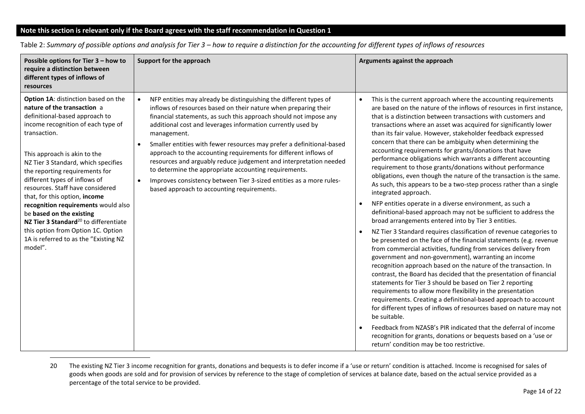# **Note this section is relevant only if the Board agrees with the staff recommendation in Question 1**

| Possible options for Tier 3 - how to<br>require a distinction between<br>different types of inflows of<br>resources                                                                                                                                                                                                                                                                                                                                                                                                                                                                         | Support for the approach                                                                                                                                                                                                                                                                                                                                                                                                                                                                                                                                                                                                                                                                                                       | Arguments against the approach                                                                                                                                                                                                                                                                                                                                                                                                                                                                                                                                                                                                                                                                                                                                                                                                                                                                                                                                                                                                                                                                                                                                                                                                                                                                                                                                                                                                                                                                                                                                                                                                                                                                                                                                                                                                                           |
|---------------------------------------------------------------------------------------------------------------------------------------------------------------------------------------------------------------------------------------------------------------------------------------------------------------------------------------------------------------------------------------------------------------------------------------------------------------------------------------------------------------------------------------------------------------------------------------------|--------------------------------------------------------------------------------------------------------------------------------------------------------------------------------------------------------------------------------------------------------------------------------------------------------------------------------------------------------------------------------------------------------------------------------------------------------------------------------------------------------------------------------------------------------------------------------------------------------------------------------------------------------------------------------------------------------------------------------|----------------------------------------------------------------------------------------------------------------------------------------------------------------------------------------------------------------------------------------------------------------------------------------------------------------------------------------------------------------------------------------------------------------------------------------------------------------------------------------------------------------------------------------------------------------------------------------------------------------------------------------------------------------------------------------------------------------------------------------------------------------------------------------------------------------------------------------------------------------------------------------------------------------------------------------------------------------------------------------------------------------------------------------------------------------------------------------------------------------------------------------------------------------------------------------------------------------------------------------------------------------------------------------------------------------------------------------------------------------------------------------------------------------------------------------------------------------------------------------------------------------------------------------------------------------------------------------------------------------------------------------------------------------------------------------------------------------------------------------------------------------------------------------------------------------------------------------------------------|
| Option 1A: distinction based on the<br>nature of the transaction a<br>definitional-based approach to<br>income recognition of each type of<br>transaction.<br>This approach is akin to the<br>NZ Tier 3 Standard, which specifies<br>the reporting requirements for<br>different types of inflows of<br>resources. Staff have considered<br>that, for this option, income<br>recognition requirements would also<br>be based on the existing<br>NZ Tier 3 Standard <sup>20</sup> to differentiate<br>this option from Option 1C. Option<br>1A is referred to as the "Existing NZ<br>model". | NFP entities may already be distinguishing the different types of<br>$\bullet$<br>inflows of resources based on their nature when preparing their<br>financial statements, as such this approach should not impose any<br>additional cost and leverages information currently used by<br>management.<br>Smaller entities with fewer resources may prefer a definitional-based<br>$\bullet$<br>approach to the accounting requirements for different inflows of<br>resources and arguably reduce judgement and interpretation needed<br>to determine the appropriate accounting requirements.<br>Improves consistency between Tier 3-sized entities as a more rules-<br>$\bullet$<br>based approach to accounting requirements. | This is the current approach where the accounting requirements<br>are based on the nature of the inflows of resources in first instance,<br>that is a distinction between transactions with customers and<br>transactions where an asset was acquired for significantly lower<br>than its fair value. However, stakeholder feedback expressed<br>concern that there can be ambiguity when determining the<br>accounting requirements for grants/donations that have<br>performance obligations which warrants a different accounting<br>requirement to those grants/donations without performance<br>obligations, even though the nature of the transaction is the same.<br>As such, this appears to be a two-step process rather than a single<br>integrated approach.<br>NFP entities operate in a diverse environment, as such a<br>definitional-based approach may not be sufficient to address the<br>broad arrangements entered into by Tier 3 entities.<br>NZ Tier 3 Standard requires classification of revenue categories to<br>be presented on the face of the financial statements (e.g. revenue<br>from commercial activities, funding from services delivery from<br>government and non-government), warranting an income<br>recognition approach based on the nature of the transaction. In<br>contrast, the Board has decided that the presentation of financial<br>statements for Tier 3 should be based on Tier 2 reporting<br>requirements to allow more flexibility in the presentation<br>requirements. Creating a definitional-based approach to account<br>for different types of inflows of resources based on nature may not<br>be suitable.<br>Feedback from NZASB's PIR indicated that the deferral of income<br>recognition for grants, donations or bequests based on a 'use or<br>return' condition may be too restrictive. |

<span id="page-13-1"></span>Table 2: *Summary of possible options and analysis for Tier 3 – how to require a distinction for the accounting for different types of inflows of resources*

<span id="page-13-0"></span><sup>20</sup> The existing NZ Tier 3 income recognition for grants, donations and bequests is to defer income if a 'use or return' condition is attached. Income is recognised for sales of goods when goods are sold and for provision of services by reference to the stage of completion of services at balance date, based on the actual service provided as a percentage of the total service to be provided.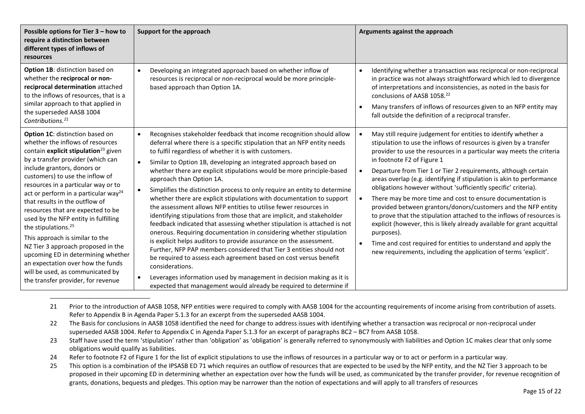| Possible options for Tier 3 - how to<br>require a distinction between<br>different types of inflows of<br>resources                                                                                                                                                                                                                                                                                                                                                                                                                                                                                                                                                                                       | Support for the approach                                                                                                                                                                                                                                                                                                                                                                                                                                                                                                                                                                                                                                                                                                                                                                                                                                                                                                                                                                                                                                                                                                                                                                                                    | Arguments against the approach                                                                                                                                                                                                                                                                                                                                                                                                                                                                                                                                                                                                                                                                                                                                                                                                                                                                                            |
|-----------------------------------------------------------------------------------------------------------------------------------------------------------------------------------------------------------------------------------------------------------------------------------------------------------------------------------------------------------------------------------------------------------------------------------------------------------------------------------------------------------------------------------------------------------------------------------------------------------------------------------------------------------------------------------------------------------|-----------------------------------------------------------------------------------------------------------------------------------------------------------------------------------------------------------------------------------------------------------------------------------------------------------------------------------------------------------------------------------------------------------------------------------------------------------------------------------------------------------------------------------------------------------------------------------------------------------------------------------------------------------------------------------------------------------------------------------------------------------------------------------------------------------------------------------------------------------------------------------------------------------------------------------------------------------------------------------------------------------------------------------------------------------------------------------------------------------------------------------------------------------------------------------------------------------------------------|---------------------------------------------------------------------------------------------------------------------------------------------------------------------------------------------------------------------------------------------------------------------------------------------------------------------------------------------------------------------------------------------------------------------------------------------------------------------------------------------------------------------------------------------------------------------------------------------------------------------------------------------------------------------------------------------------------------------------------------------------------------------------------------------------------------------------------------------------------------------------------------------------------------------------|
| <b>Option 1B:</b> distinction based on<br>whether the reciprocal or non-<br>reciprocal determination attached<br>to the inflows of resources, that is a<br>similar approach to that applied in<br>the superseded AASB 1004<br>Contributions. <sup>21</sup>                                                                                                                                                                                                                                                                                                                                                                                                                                                | Developing an integrated approach based on whether inflow of<br>resources is reciprocal or non-reciprocal would be more principle-<br>based approach than Option 1A.                                                                                                                                                                                                                                                                                                                                                                                                                                                                                                                                                                                                                                                                                                                                                                                                                                                                                                                                                                                                                                                        | Identifying whether a transaction was reciprocal or non-reciprocal<br>$\bullet$<br>in practice was not always straightforward which led to divergence<br>of interpretations and inconsistencies, as noted in the basis for<br>conclusions of AASB 1058. <sup>22</sup><br>Many transfers of inflows of resources given to an NFP entity may<br>fall outside the definition of a reciprocal transfer.                                                                                                                                                                                                                                                                                                                                                                                                                                                                                                                       |
| Option 1C: distinction based on<br>whether the inflows of resources<br>contain explicit stipulation <sup>23</sup> given<br>by a transfer provider (which can<br>include grantors, donors or<br>customers) to use the inflow of<br>resources in a particular way or to<br>act or perform in a particular way <sup>24</sup><br>that results in the outflow of<br>resources that are expected to be<br>used by the NFP entity in fulfilling<br>the stipulations. <sup>25</sup><br>This approach is similar to the<br>NZ Tier 3 approach proposed in the<br>upcoming ED in determining whether<br>an expectation over how the funds<br>will be used, as communicated by<br>the transfer provider, for revenue | Recognises stakeholder feedback that income recognition should allow<br>deferral where there is a specific stipulation that an NFP entity needs<br>to fulfil regardless of whether it is with customers.<br>Similar to Option 1B, developing an integrated approach based on<br>whether there are explicit stipulations would be more principle-based<br>approach than Option 1A.<br>Simplifies the distinction process to only require an entity to determine<br>whether there are explicit stipulations with documentation to support<br>the assessment allows NFP entities to utilise fewer resources in<br>identifying stipulations from those that are implicit, and stakeholder<br>feedback indicated that assessing whether stipulation is attached is not<br>onerous. Requiring documentation in considering whether stipulation<br>is explicit helps auditors to provide assurance on the assessment.<br>Further, NFP PAP members considered that Tier 3 entities should not<br>be required to assess each agreement based on cost versus benefit<br>considerations.<br>Leverages information used by management in decision making as it is<br>expected that management would already be required to determine if | May still require judgement for entities to identify whether a<br>stipulation to use the inflows of resources is given by a transfer<br>provider to use the resources in a particular way meets the criteria<br>in footnote F2 of Figure 1<br>Departure from Tier 1 or Tier 2 requirements, although certain<br>$\bullet$<br>areas overlap (e.g. identifying if stipulation is akin to performance<br>obligations however without 'sufficiently specific' criteria).<br>There may be more time and cost to ensure documentation is<br>provided between grantors/donors/customers and the NFP entity<br>to prove that the stipulation attached to the inflows of resources is<br>explicit (however, this is likely already available for grant acquittal<br>purposes).<br>Time and cost required for entities to understand and apply the<br>$\bullet$<br>new requirements, including the application of terms 'explicit'. |

<sup>21</sup> Prior to the introduction of AASB 1058, NFP entities were required to comply with AASB 1004 for the accounting requirements of income arising from contribution of assets. Refer to Appendix B in Agenda Paper 5.1.3 for an excerpt from the superseded AASB 1004.

<sup>22</sup> The Basis for conclusions in AASB 1058 identified the need for change to address issues with identifying whether a transaction was reciprocal or non-reciprocal under superseded AASB 1004. Refer to Appendix C in Agenda Paper 5.1.3 for an excerpt of paragraphs BC2 – BC7 from AASB 1058.

<sup>23</sup> Staff have used the term 'stipulation' rather than 'obligation' as 'obligation' is generally referred to synonymously with liabilities and Option 1C makes clear that only some obligations would qualify as liabilities.

<sup>24</sup> Refer to footnote [F2](#page-9-1) of Figure 1 for the list of explicit stipulations to use the inflows of resources in a particular way or to act or perform in a particular way.

<sup>25</sup> This option is a combination of the IPSASB ED 71 which requires an outflow of resources that are expected to be used by the NFP entity, and the NZ Tier 3 approach to be proposed in their upcoming ED in determining whether an expectation over how the funds will be used, as communicated by the transfer provider, for revenue recognition of grants, donations, bequests and pledges. This option may be narrower than the notion of expectations and will apply to all transfers of resources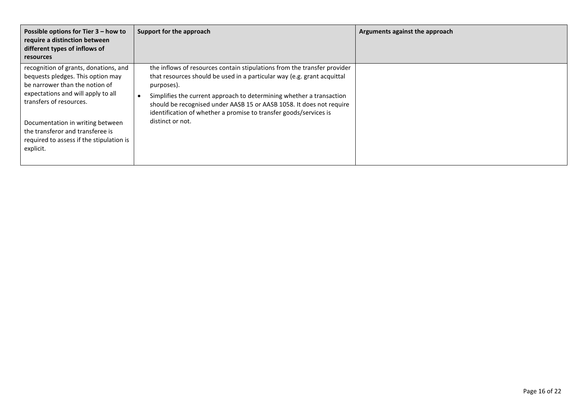| Possible options for Tier $3 -$ how to<br>require a distinction between<br>different types of inflows of<br><b>resources</b>                                                                                                                                                                                   | Support for the approach                                                                                                                                                                                                                                                                                                                                                                                   | Arguments against the approach |
|----------------------------------------------------------------------------------------------------------------------------------------------------------------------------------------------------------------------------------------------------------------------------------------------------------------|------------------------------------------------------------------------------------------------------------------------------------------------------------------------------------------------------------------------------------------------------------------------------------------------------------------------------------------------------------------------------------------------------------|--------------------------------|
| recognition of grants, donations, and<br>bequests pledges. This option may<br>be narrower than the notion of<br>expectations and will apply to all<br>transfers of resources.<br>Documentation in writing between<br>the transferor and transferee is<br>required to assess if the stipulation is<br>explicit. | the inflows of resources contain stipulations from the transfer provider<br>that resources should be used in a particular way (e.g. grant acquittal<br>purposes).<br>Simplifies the current approach to determining whether a transaction<br>should be recognised under AASB 15 or AASB 1058. It does not require<br>identification of whether a promise to transfer goods/services is<br>distinct or not. |                                |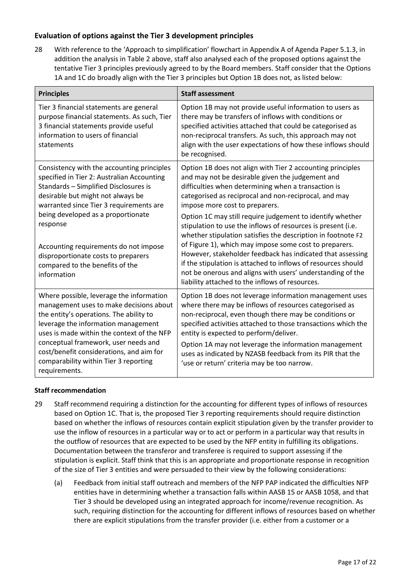# **Evaluation of options against the Tier 3 development principles**

<span id="page-16-0"></span>28 With reference to the 'Approach to simplification' flowchart in Appendix A of Agenda Paper 5.1.3, in addition the analysis in [Table 2](#page-13-0) above, staff also analysed each of the proposed options against the tentative Tier 3 principles previously agreed to by the Board members. Staff consider that the Options 1A and 1C do broadly align with the Tier 3 principles but Option 1B does not, as listed below:

| <b>Principles</b>                                                                                                                                                                                                                                                                                                                                                                                     | <b>Staff assessment</b>                                                                                                                                                                                                                                                                                                                                                                                                                                                                                                                                                                                                                                                                                                                                                 |
|-------------------------------------------------------------------------------------------------------------------------------------------------------------------------------------------------------------------------------------------------------------------------------------------------------------------------------------------------------------------------------------------------------|-------------------------------------------------------------------------------------------------------------------------------------------------------------------------------------------------------------------------------------------------------------------------------------------------------------------------------------------------------------------------------------------------------------------------------------------------------------------------------------------------------------------------------------------------------------------------------------------------------------------------------------------------------------------------------------------------------------------------------------------------------------------------|
| Tier 3 financial statements are general<br>purpose financial statements. As such, Tier<br>3 financial statements provide useful<br>information to users of financial<br>statements                                                                                                                                                                                                                    | Option 1B may not provide useful information to users as<br>there may be transfers of inflows with conditions or<br>specified activities attached that could be categorised as<br>non-reciprocal transfers. As such, this approach may not<br>align with the user expectations of how these inflows should<br>be recognised.                                                                                                                                                                                                                                                                                                                                                                                                                                            |
| Consistency with the accounting principles<br>specified in Tier 2: Australian Accounting<br>Standards - Simplified Disclosures is<br>desirable but might not always be<br>warranted since Tier 3 requirements are<br>being developed as a proportionate<br>response<br>Accounting requirements do not impose<br>disproportionate costs to preparers<br>compared to the benefits of the<br>information | Option 1B does not align with Tier 2 accounting principles<br>and may not be desirable given the judgement and<br>difficulties when determining when a transaction is<br>categorised as reciprocal and non-reciprocal, and may<br>impose more cost to preparers.<br>Option 1C may still require judgement to identify whether<br>stipulation to use the inflows of resources is present (i.e.<br>whether stipulation satisfies the description in footnote F2<br>of Figure 1), which may impose some cost to preparers.<br>However, stakeholder feedback has indicated that assessing<br>if the stipulation is attached to inflows of resources should<br>not be onerous and aligns with users' understanding of the<br>liability attached to the inflows of resources. |
| Where possible, leverage the information<br>management uses to make decisions about<br>the entity's operations. The ability to<br>leverage the information management<br>uses is made within the context of the NFP<br>conceptual framework, user needs and<br>cost/benefit considerations, and aim for<br>comparability within Tier 3 reporting<br>requirements.                                     | Option 1B does not leverage information management uses<br>where there may be inflows of resources categorised as<br>non-reciprocal, even though there may be conditions or<br>specified activities attached to those transactions which the<br>entity is expected to perform/deliver.<br>Option 1A may not leverage the information management<br>uses as indicated by NZASB feedback from its PIR that the<br>'use or return' criteria may be too narrow.                                                                                                                                                                                                                                                                                                             |

#### **Staff recommendation**

- <span id="page-16-1"></span>29 Staff recommend requiring a distinction for the accounting for different types of inflows of resources based on Option 1C. That is, the proposed Tier 3 reporting requirements should require distinction based on whether the inflows of resources contain explicit stipulation given by the transfer provider to use the inflow of resources in a particular way or to act or perform in a particular way that results in the outflow of resources that are expected to be used by the NFP entity in fulfilling its obligations. Documentation between the transferor and transferee is required to support assessing if the stipulation is explicit. Staff think that this is an appropriate and proportionate response in recognition of the size of Tier 3 entities and were persuaded to their view by the following considerations:
	- (a) Feedback from initial staff outreach and members of the NFP PAP indicated the difficulties NFP entities have in determining whether a transaction falls within AASB 15 or AASB 1058, and that Tier 3 should be developed using an integrated approach for income/revenue recognition. As such, requiring distinction for the accounting for different inflows of resources based on whether there are explicit stipulations from the transfer provider (i.e. either from a customer or a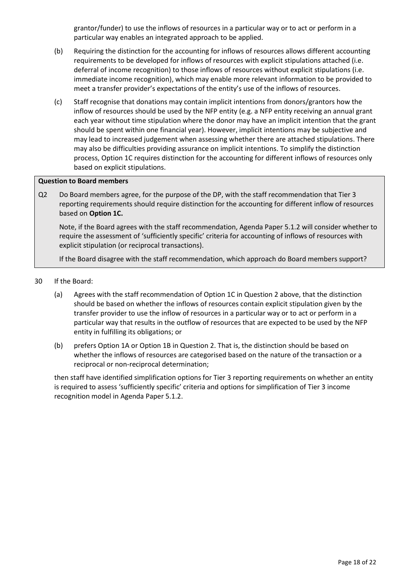grantor/funder) to use the inflows of resources in a particular way or to act or perform in a particular way enables an integrated approach to be applied.

- (b) Requiring the distinction for the accounting for inflows of resources allows different accounting requirements to be developed for inflows of resources with explicit stipulations attached (i.e. deferral of income recognition) to those inflows of resources without explicit stipulations (i.e. immediate income recognition), which may enable more relevant information to be provided to meet a transfer provider's expectations of the entity's use of the inflows of resources.
- (c) Staff recognise that donations may contain implicit intentions from donors/grantors how the inflow of resources should be used by the NFP entity (e.g. a NFP entity receiving an annual grant each year without time stipulation where the donor may have an implicit intention that the grant should be spent within one financial year). However, implicit intentions may be subjective and may lead to increased judgement when assessing whether there are attached stipulations. There may also be difficulties providing assurance on implicit intentions. To simplify the distinction process, Option 1C requires distinction for the accounting for different inflows of resources only based on explicit stipulations.

#### **Question to Board members**

Q2 Do Board members agree, for the purpose of the DP, with the staff recommendation that Tier 3 reporting requirements should require distinction for the accounting for different inflow of resources based on **Option 1C.**

Note, if the Board agrees with the staff recommendation, Agenda Paper 5.1.2 will consider whether to require the assessment of 'sufficiently specific' criteria for accounting of inflows of resources with explicit stipulation (or reciprocal transactions).

If the Board disagree with the staff recommendation, which approach do Board members support?

- <span id="page-17-0"></span>30 If the Board:
	- (a) Agrees with the staff recommendation of Option 1C in Question 2 above, that the distinction should be based on whether the inflows of resources contain explicit stipulation given by the transfer provider to use the inflow of resources in a particular way or to act or perform in a particular way that results in the outflow of resources that are expected to be used by the NFP entity in fulfilling its obligations; or
	- (b) prefers Option 1A or Option 1B in Question 2. That is, the distinction should be based on whether the inflows of resources are categorised based on the nature of the transaction or a reciprocal or non-reciprocal determination;

then staff have identified simplification options for Tier 3 reporting requirements on whether an entity is required to assess 'sufficiently specific' criteria and options for simplification of Tier 3 income recognition model in Agenda Paper 5.1.2.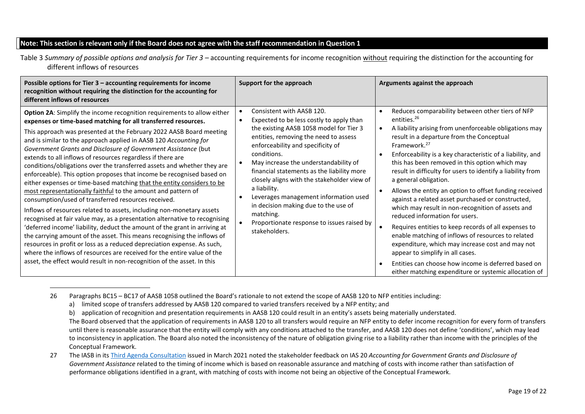### **Note: This section is relevant only if the Board does not agree with the staff recommendation in Question 1**

Table 3 *Summary of possible options and analysis for Tier 3 –* accounting requirements for income recognition without requiring the distinction for the accounting for different inflows of resources

| Possible options for Tier 3 - accounting requirements for income<br>recognition without requiring the distinction for the accounting for<br>different inflows of resources                                                                                                                                                                                                                                                                                                                                                                                                                                                                                                                                                                                                                                                                                                                                                                                                                                                                                                                                                                                                                                                                                                                                                    | Support for the approach                                                                                                                                                                                                                                                                                                                                                                                                                                                                                                         | Arguments against the approach                                                                                                                                                                                                                                                                                                                                                                                                                                                                                                                                                                                                                                                                                                                                                                                                                                                                                                                     |
|-------------------------------------------------------------------------------------------------------------------------------------------------------------------------------------------------------------------------------------------------------------------------------------------------------------------------------------------------------------------------------------------------------------------------------------------------------------------------------------------------------------------------------------------------------------------------------------------------------------------------------------------------------------------------------------------------------------------------------------------------------------------------------------------------------------------------------------------------------------------------------------------------------------------------------------------------------------------------------------------------------------------------------------------------------------------------------------------------------------------------------------------------------------------------------------------------------------------------------------------------------------------------------------------------------------------------------|----------------------------------------------------------------------------------------------------------------------------------------------------------------------------------------------------------------------------------------------------------------------------------------------------------------------------------------------------------------------------------------------------------------------------------------------------------------------------------------------------------------------------------|----------------------------------------------------------------------------------------------------------------------------------------------------------------------------------------------------------------------------------------------------------------------------------------------------------------------------------------------------------------------------------------------------------------------------------------------------------------------------------------------------------------------------------------------------------------------------------------------------------------------------------------------------------------------------------------------------------------------------------------------------------------------------------------------------------------------------------------------------------------------------------------------------------------------------------------------------|
| Option 2A: Simplify the income recognition requirements to allow either<br>expenses or time-based matching for all transferred resources.<br>This approach was presented at the February 2022 AASB Board meeting<br>and is similar to the approach applied in AASB 120 Accounting for<br>Government Grants and Disclosure of Government Assistance (but<br>extends to all inflows of resources regardless if there are<br>conditions/obligations over the transferred assets and whether they are<br>enforceable). This option proposes that income be recognised based on<br>either expenses or time-based matching that the entity considers to be<br>most representationally faithful to the amount and pattern of<br>consumption/used of transferred resources received.<br>Inflows of resources related to assets, including non-monetary assets<br>recognised at fair value may, as a presentation alternative to recognising<br>'deferred income' liability, deduct the amount of the grant in arriving at<br>the carrying amount of the asset. This means recognising the inflows of<br>resources in profit or loss as a reduced depreciation expense. As such,<br>where the inflows of resources are received for the entire value of the<br>asset, the effect would result in non-recognition of the asset. In this | Consistent with AASB 120.<br>Expected to be less costly to apply than<br>the existing AASB 1058 model for Tier 3<br>entities, removing the need to assess<br>enforceability and specificity of<br>conditions.<br>May increase the understandability of<br>financial statements as the liability more<br>closely aligns with the stakeholder view of<br>a liability.<br>Leverages management information used<br>in decision making due to the use of<br>matching.<br>Proportionate response to issues raised by<br>stakeholders. | Reduces comparability between other tiers of NFP<br>entities. <sup>26</sup><br>A liability arising from unenforceable obligations may<br>result in a departure from the Conceptual<br>Framework. <sup>27</sup><br>Enforceability is a key characteristic of a liability, and<br>this has been removed in this option which may<br>result in difficulty for users to identify a liability from<br>a general obligation.<br>Allows the entity an option to offset funding received<br>against a related asset purchased or constructed,<br>which may result in non-recognition of assets and<br>reduced information for users.<br>Requires entities to keep records of all expenses to<br>enable matching of inflows of resources to related<br>expenditure, which may increase cost and may not<br>appear to simplify in all cases.<br>Entities can choose how income is deferred based on<br>either matching expenditure or systemic allocation of |

<span id="page-18-0"></span><sup>26</sup> Paragraphs BC15 – BC17 of AASB 1058 outlined the Board's rationale to not extend the scope of AASB 120 to NFP entities including:

a) limited scope of transfers addressed by AASB 120 compared to varied transfers received by a NFP entity; and

b) application of recognition and presentation requirements in AASB 120 could result in an entity's assets being materially understated. The Board observed that the application of requirements in AASB 120 to all transfers would require an NFP entity to defer income recognition for every form of transfers until there is reasonable assurance that the entity will comply with any conditions attached to the transfer, and AASB 120 does not define 'conditions', which may lead to inconsistency in application. The Board also noted the inconsistency of the nature of obligation giving rise to a liability rather than income with the principles of the Conceptual Framework.

<sup>27</sup> The IASB in it[s Third Agenda Consultation](https://www.ifrs.org/content/dam/ifrs/project/third-agenda-consultation/rfi-third-agenda-consultation-2021.pdf) issued in March 2021 noted the stakeholder feedback on IAS 20 *Accounting for Government Grants and Disclosure of Government Assistance* related to the timing of income which is based on reasonable assurance and matching of costs with income rather than satisfaction of performance obligations identified in a grant, with matching of costs with income not being an objective of the Conceptual Framework.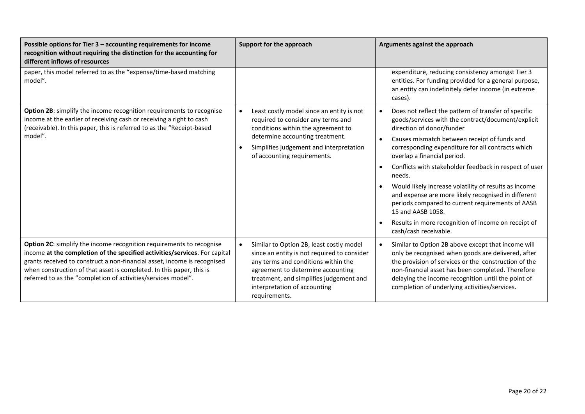| Possible options for Tier 3 - accounting requirements for income<br>recognition without requiring the distinction for the accounting for<br>different inflows of resources                                                                                                                                                                                              | Support for the approach                                                                                                                                                                                                                                                     | Arguments against the approach                                                                                                                                                                                                                                                                                                                                                                                                                                                                                                                                                                                                                                  |
|-------------------------------------------------------------------------------------------------------------------------------------------------------------------------------------------------------------------------------------------------------------------------------------------------------------------------------------------------------------------------|------------------------------------------------------------------------------------------------------------------------------------------------------------------------------------------------------------------------------------------------------------------------------|-----------------------------------------------------------------------------------------------------------------------------------------------------------------------------------------------------------------------------------------------------------------------------------------------------------------------------------------------------------------------------------------------------------------------------------------------------------------------------------------------------------------------------------------------------------------------------------------------------------------------------------------------------------------|
| paper, this model referred to as the "expense/time-based matching<br>model".                                                                                                                                                                                                                                                                                            |                                                                                                                                                                                                                                                                              | expenditure, reducing consistency amongst Tier 3<br>entities. For funding provided for a general purpose,<br>an entity can indefinitely defer income (in extreme<br>cases).                                                                                                                                                                                                                                                                                                                                                                                                                                                                                     |
| Option 2B: simplify the income recognition requirements to recognise<br>income at the earlier of receiving cash or receiving a right to cash<br>(receivable). In this paper, this is referred to as the "Receipt-based<br>model".                                                                                                                                       | Least costly model since an entity is not<br>$\bullet$<br>required to consider any terms and<br>conditions within the agreement to<br>determine accounting treatment.<br>Simplifies judgement and interpretation<br>of accounting requirements.                              | Does not reflect the pattern of transfer of specific<br>$\bullet$<br>goods/services with the contract/document/explicit<br>direction of donor/funder<br>Causes mismatch between receipt of funds and<br>$\bullet$<br>corresponding expenditure for all contracts which<br>overlap a financial period.<br>Conflicts with stakeholder feedback in respect of user<br>$\bullet$<br>needs.<br>Would likely increase volatility of results as income<br>and expense are more likely recognised in different<br>periods compared to current requirements of AASB<br>15 and AASB 1058.<br>Results in more recognition of income on receipt of<br>cash/cash receivable. |
| Option 2C: simplify the income recognition requirements to recognise<br>income at the completion of the specified activities/services. For capital<br>grants received to construct a non-financial asset, income is recognised<br>when construction of that asset is completed. In this paper, this is<br>referred to as the "completion of activities/services model". | Similar to Option 2B, least costly model<br>$\bullet$<br>since an entity is not required to consider<br>any terms and conditions within the<br>agreement to determine accounting<br>treatment, and simplifies judgement and<br>interpretation of accounting<br>requirements. | Similar to Option 2B above except that income will<br>only be recognised when goods are delivered, after<br>the provision of services or the construction of the<br>non-financial asset has been completed. Therefore<br>delaying the income recognition until the point of<br>completion of underlying activities/services.                                                                                                                                                                                                                                                                                                                                    |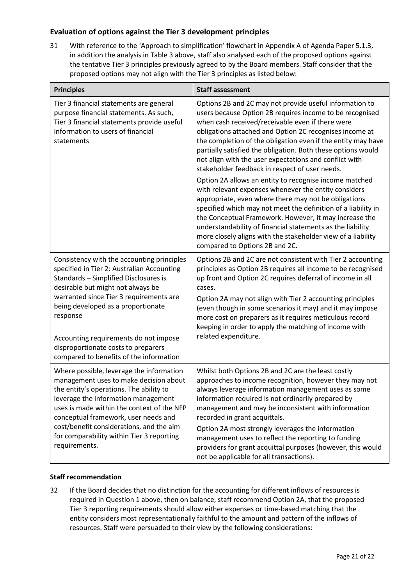## **Evaluation of options against the Tier 3 development principles**

<span id="page-20-0"></span>31 With reference to the 'Approach to simplification' flowchart in Appendix A of Agenda Paper 5.1.3, in addition the analysis in [Table 3](#page-18-0) above, staff also analysed each of the proposed options against the tentative Tier 3 principles previously agreed to by the Board members. Staff consider that the proposed options may not align with the Tier 3 principles as listed below:

| <b>Principles</b>                                                                                                                                                                                                                                                                                                                                                                              | <b>Staff assessment</b>                                                                                                                                                                                                                                                                                                                                                                                                                                                                                                                  |
|------------------------------------------------------------------------------------------------------------------------------------------------------------------------------------------------------------------------------------------------------------------------------------------------------------------------------------------------------------------------------------------------|------------------------------------------------------------------------------------------------------------------------------------------------------------------------------------------------------------------------------------------------------------------------------------------------------------------------------------------------------------------------------------------------------------------------------------------------------------------------------------------------------------------------------------------|
| Tier 3 financial statements are general<br>purpose financial statements. As such,<br>Tier 3 financial statements provide useful<br>information to users of financial<br>statements                                                                                                                                                                                                             | Options 2B and 2C may not provide useful information to<br>users because Option 2B requires income to be recognised<br>when cash received/receivable even if there were<br>obligations attached and Option 2C recognises income at<br>the completion of the obligation even if the entity may have<br>partially satisfied the obligation. Both these options would<br>not align with the user expectations and conflict with<br>stakeholder feedback in respect of user needs.                                                           |
|                                                                                                                                                                                                                                                                                                                                                                                                | Option 2A allows an entity to recognise income matched<br>with relevant expenses whenever the entity considers<br>appropriate, even where there may not be obligations<br>specified which may not meet the definition of a liability in<br>the Conceptual Framework. However, it may increase the<br>understandability of financial statements as the liability<br>more closely aligns with the stakeholder view of a liability<br>compared to Options 2B and 2C.                                                                        |
| Consistency with the accounting principles<br>specified in Tier 2: Australian Accounting<br>Standards - Simplified Disclosures is<br>desirable but might not always be<br>warranted since Tier 3 requirements are<br>being developed as a proportionate<br>response<br>Accounting requirements do not impose<br>disproportionate costs to preparers<br>compared to benefits of the information | Options 2B and 2C are not consistent with Tier 2 accounting<br>principles as Option 2B requires all income to be recognised<br>up front and Option 2C requires deferral of income in all<br>cases.<br>Option 2A may not align with Tier 2 accounting principles<br>(even though in some scenarios it may) and it may impose<br>more cost on preparers as it requires meticulous record<br>keeping in order to apply the matching of income with<br>related expenditure.                                                                  |
| Where possible, leverage the information<br>management uses to make decision about<br>the entity's operations. The ability to<br>leverage the information management<br>uses is made within the context of the NFP<br>conceptual framework, user needs and<br>cost/benefit considerations, and the aim<br>for comparability within Tier 3 reporting<br>requirements.                           | Whilst both Options 2B and 2C are the least costly<br>approaches to income recognition, however they may not<br>always leverage information management uses as some<br>information required is not ordinarily prepared by<br>management and may be inconsistent with information<br>recorded in grant acquittals.<br>Option 2A most strongly leverages the information<br>management uses to reflect the reporting to funding<br>providers for grant acquittal purposes (however, this would<br>not be applicable for all transactions). |

#### **Staff recommendation**

<span id="page-20-1"></span>32 If the Board decides that no distinction for the accounting for different inflows of resources is required in Question 1 above, then on balance, staff recommend Option 2A, that the proposed Tier 3 reporting requirements should allow either expenses or time-based matching that the entity considers most representationally faithful to the amount and pattern of the inflows of resources. Staff were persuaded to their view by the following considerations: